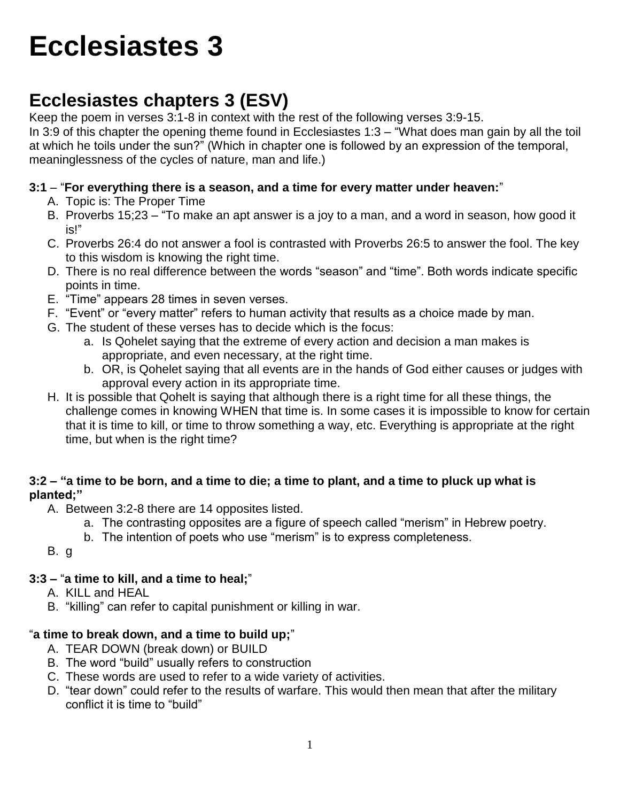# **Ecclesiastes 3**

# **Ecclesiastes chapters 3 (ESV)**

Keep the poem in verses 3:1-8 in context with the rest of the following verses 3:9-15.

In 3:9 of this chapter the opening theme found in Ecclesiastes 1:3 – "What does man gain by all the toil at which he toils under the sun?" (Which in chapter one is followed by an expression of the temporal, meaninglessness of the cycles of nature, man and life.)

#### **3:1** – "**For everything there is a season, and a time for every matter under heaven:**"

- A. Topic is: The Proper Time
- B. Proverbs 15;23 "To make an apt answer is a joy to a man, and a word in season, how good it is!"
- C. Proverbs 26:4 do not answer a fool is contrasted with Proverbs 26:5 to answer the fool. The key to this wisdom is knowing the right time.
- D. There is no real difference between the words "season" and "time". Both words indicate specific points in time.
- E. "Time" appears 28 times in seven verses.
- F. "Event" or "every matter" refers to human activity that results as a choice made by man.
- G. The student of these verses has to decide which is the focus:
	- a. Is Qohelet saying that the extreme of every action and decision a man makes is appropriate, and even necessary, at the right time.
	- b. OR, is Qohelet saying that all events are in the hands of God either causes or judges with approval every action in its appropriate time.
- H. It is possible that Qohelt is saying that although there is a right time for all these things, the challenge comes in knowing WHEN that time is. In some cases it is impossible to know for certain that it is time to kill, or time to throw something a way, etc. Everything is appropriate at the right time, but when is the right time?

#### **3:2 – "a time to be born, and a time to die; a time to plant, and a time to pluck up what is planted;"**

- A. Between 3:2-8 there are 14 opposites listed.
	- a. The contrasting opposites are a figure of speech called "merism" in Hebrew poetry.
	- b. The intention of poets who use "merism" is to express completeness.
- B. g

# **3:3 –** "**a time to kill, and a time to heal;**"

- A. KILL and HEAL
- B. "killing" can refer to capital punishment or killing in war.

# "**a time to break down, and a time to build up;**"

- A. TEAR DOWN (break down) or BUILD
- B. The word "build" usually refers to construction
- C. These words are used to refer to a wide variety of activities.
- D. "tear down" could refer to the results of warfare. This would then mean that after the military conflict it is time to "build"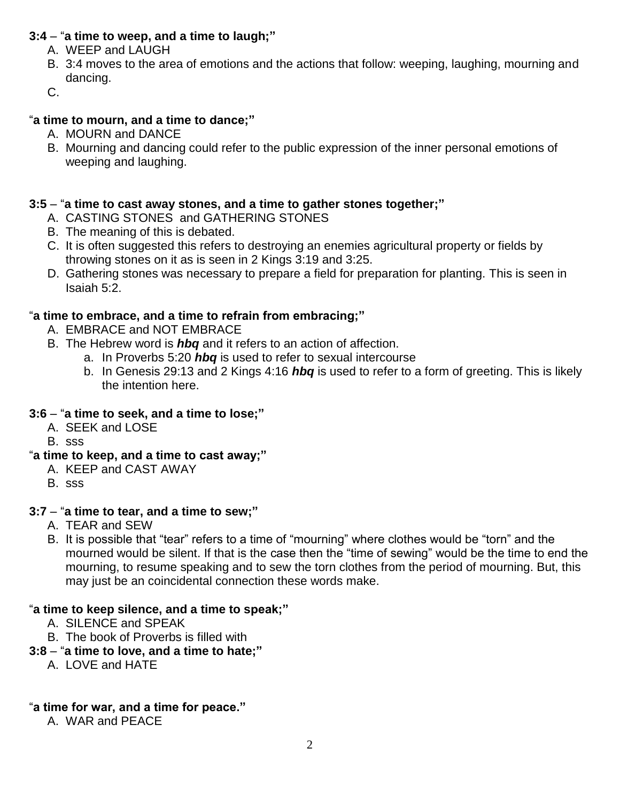#### **3:4** – "**a time to weep, and a time to laugh;"**

- A. WEEP and LAUGH
- B. 3:4 moves to the area of emotions and the actions that follow: weeping, laughing, mourning and dancing.
- C.

#### "**a time to mourn, and a time to dance;"**

- A. MOURN and DANCE
- B. Mourning and dancing could refer to the public expression of the inner personal emotions of weeping and laughing.

#### **3:5** – "**a time to cast away stones, and a time to gather stones together;"**

- A. CASTING STONES and GATHERING STONES
- B. The meaning of this is debated.
- C. It is often suggested this refers to destroying an enemies agricultural property or fields by throwing stones on it as is seen in 2 Kings 3:19 and 3:25.
- D. Gathering stones was necessary to prepare a field for preparation for planting. This is seen in Isaiah 5:2.

#### "**a time to embrace, and a time to refrain from embracing;"**

- A. EMBRACE and NOT EMBRACE
- B. The Hebrew word is *hbq* and it refers to an action of affection.
	- a. In Proverbs 5:20 *hbq* is used to refer to sexual intercourse
	- b. In Genesis 29:13 and 2 Kings 4:16 *hbq* is used to refer to a form of greeting. This is likely the intention here.

#### **3:6** – "**a time to seek, and a time to lose;"**

- A. SEEK and LOSE
- B. sss

#### "**a time to keep, and a time to cast away;"**

- A. KEEP and CAST AWAY
- B. sss

#### **3:7** – "**a time to tear, and a time to sew;"**

- A. TEAR and SEW
- B. It is possible that "tear" refers to a time of "mourning" where clothes would be "torn" and the mourned would be silent. If that is the case then the "time of sewing" would be the time to end the mourning, to resume speaking and to sew the torn clothes from the period of mourning. But, this may just be an coincidental connection these words make.

#### "**a time to keep silence, and a time to speak;"**

- A. SILENCE and SPEAK
- B. The book of Proverbs is filled with
- **3:8** "**a time to love, and a time to hate;"**
	- A. LOVE and HATE

#### "**a time for war, and a time for peace."**

A. WAR and PEACE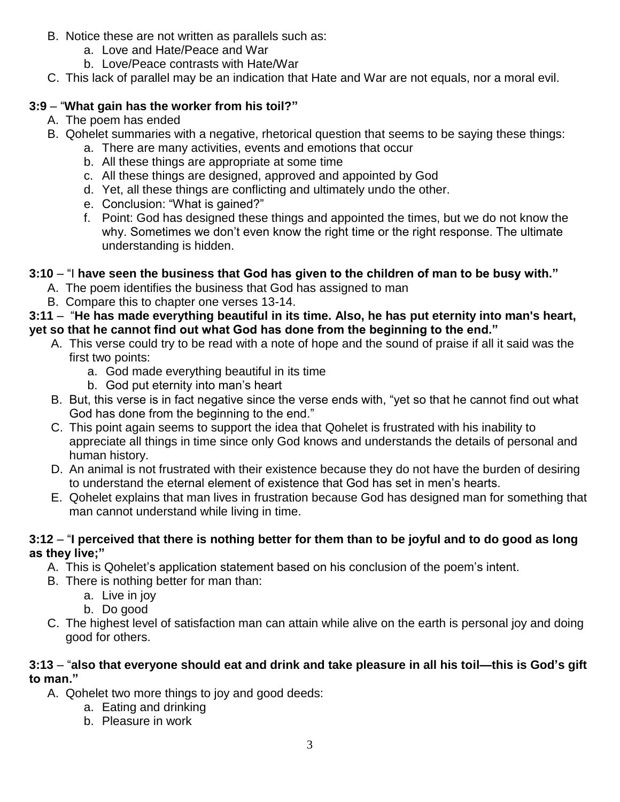- B. Notice these are not written as parallels such as:
	- a. Love and Hate/Peace and War
	- b. Love/Peace contrasts with Hate/War
- C. This lack of parallel may be an indication that Hate and War are not equals, nor a moral evil.

### **3:9** – "**What gain has the worker from his toil?"**

- A. The poem has ended
- B. Qohelet summaries with a negative, rhetorical question that seems to be saying these things:
	- a. There are many activities, events and emotions that occur
		- b. All these things are appropriate at some time
		- c. All these things are designed, approved and appointed by God
		- d. Yet, all these things are conflicting and ultimately undo the other.
		- e. Conclusion: "What is gained?"
		- f. Point: God has designed these things and appointed the times, but we do not know the why. Sometimes we don't even know the right time or the right response. The ultimate understanding is hidden.

## **3:10** – "I **have seen the business that God has given to the children of man to be busy with."**

- A. The poem identifies the business that God has assigned to man
- B. Compare this to chapter one verses 13-14.

#### **3:11** – "**He has made everything beautiful in its time. Also, he has put eternity into man's heart, yet so that he cannot find out what God has done from the beginning to the end."**

- A. This verse could try to be read with a note of hope and the sound of praise if all it said was the first two points:
	- a. God made everything beautiful in its time
	- b. God put eternity into man's heart
- B. But, this verse is in fact negative since the verse ends with, "yet so that he cannot find out what God has done from the beginning to the end."
- C. This point again seems to support the idea that Qohelet is frustrated with his inability to appreciate all things in time since only God knows and understands the details of personal and human history.
- D. An animal is not frustrated with their existence because they do not have the burden of desiring to understand the eternal element of existence that God has set in men's hearts.
- E. Qohelet explains that man lives in frustration because God has designed man for something that man cannot understand while living in time.

#### **3:12** – "**I perceived that there is nothing better for them than to be joyful and to do good as long as they live;"**

- A. This is Qohelet's application statement based on his conclusion of the poem's intent.
- B. There is nothing better for man than:
	- a. Live in joy
	- b. Do good
- C. The highest level of satisfaction man can attain while alive on the earth is personal joy and doing good for others.

#### **3:13** – "**also that everyone should eat and drink and take pleasure in all his toil—this is God's gift to man."**

- A. Qohelet two more things to joy and good deeds:
	- a. Eating and drinking
	- b. Pleasure in work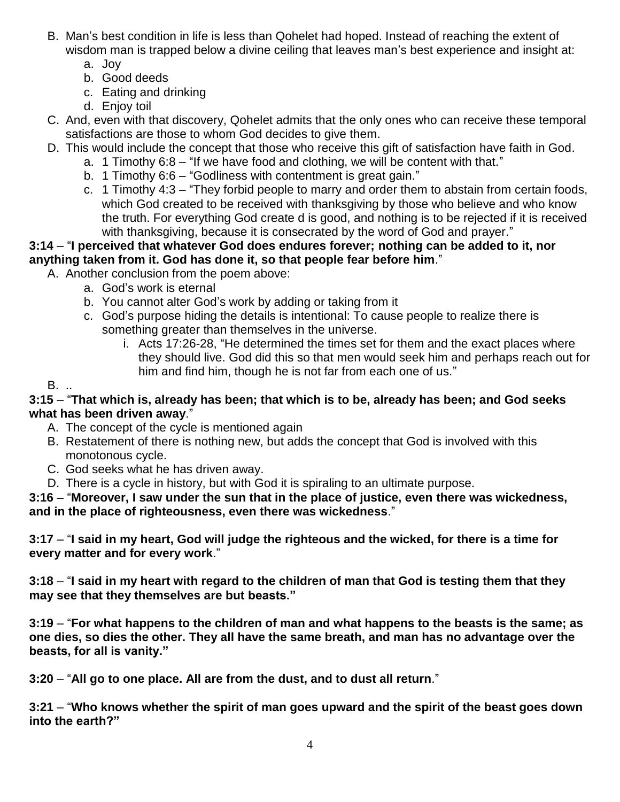- B. Man's best condition in life is less than Qohelet had hoped. Instead of reaching the extent of wisdom man is trapped below a divine ceiling that leaves man's best experience and insight at:
	- a. Joy
	- b. Good deeds
	- c. Eating and drinking
	- d. Enjoy toil
- C. And, even with that discovery, Qohelet admits that the only ones who can receive these temporal satisfactions are those to whom God decides to give them.
- D. This would include the concept that those who receive this gift of satisfaction have faith in God.
	- a. 1 Timothy 6:8 "If we have food and clothing, we will be content with that."
		- b. 1 Timothy 6:6 "Godliness with contentment is great gain."
	- c. 1 Timothy 4:3 "They forbid people to marry and order them to abstain from certain foods, which God created to be received with thanksgiving by those who believe and who know the truth. For everything God create d is good, and nothing is to be rejected if it is received with thanksgiving, because it is consecrated by the word of God and prayer."

#### **3:14** – "**I perceived that whatever God does endures forever; nothing can be added to it, nor anything taken from it. God has done it, so that people fear before him**."

A. Another conclusion from the poem above:

- a. God's work is eternal
- b. You cannot alter God's work by adding or taking from it
- c. God's purpose hiding the details is intentional: To cause people to realize there is something greater than themselves in the universe.
	- i. Acts 17:26-28, "He determined the times set for them and the exact places where they should live. God did this so that men would seek him and perhaps reach out for him and find him, though he is not far from each one of us."

#### B. ..

#### **3:15** – "**That which is, already has been; that which is to be, already has been; and God seeks what has been driven away**."

- A. The concept of the cycle is mentioned again
- B. Restatement of there is nothing new, but adds the concept that God is involved with this monotonous cycle.
- C. God seeks what he has driven away.
- D. There is a cycle in history, but with God it is spiraling to an ultimate purpose.

#### **3:16** – "**Moreover, I saw under the sun that in the place of justice, even there was wickedness, and in the place of righteousness, even there was wickedness**."

**3:17** – "**I said in my heart, God will judge the righteous and the wicked, for there is a time for every matter and for every work**."

**3:18** – "**I said in my heart with regard to the children of man that God is testing them that they may see that they themselves are but beasts."**

**3:19** – "**For what happens to the children of man and what happens to the beasts is the same; as one dies, so dies the other. They all have the same breath, and man has no advantage over the beasts, for all is vanity."**

**3:20** – "**All go to one place. All are from the dust, and to dust all return**."

**3:21** – "**Who knows whether the spirit of man goes upward and the spirit of the beast goes down into the earth?"**